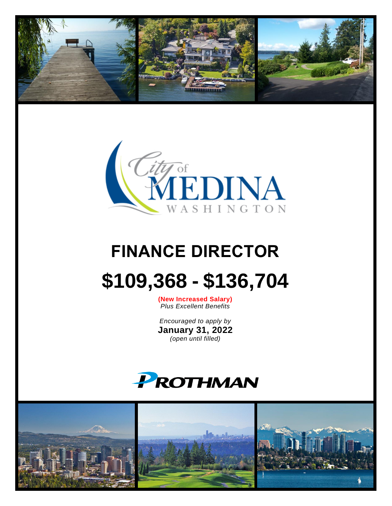



# **FINANCE DIRECTOR \$109,368 - \$136,704**

**(New Increased Salary)** *Plus Excellent Benefits*

*Encouraged to apply by* **January 31, 2022** *(open until filled)*



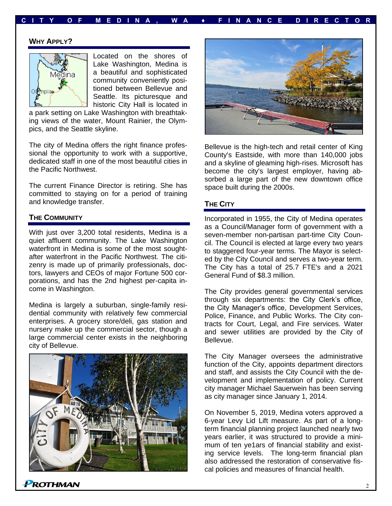## **C I T Y O F M E D I N A , W A ♦ F I N A N C E D I R E C T O R**

#### **WHY APPLY?**



Located on the shores of Lake Washington, Medina is a beautiful and sophisticated community conveniently positioned between Bellevue and Seattle. Its picturesque and historic City Hall is located in

a park setting on Lake Washington with breathtaking views of the water, Mount Rainier, the Olympics, and the Seattle skyline.

The city of Medina offers the right finance professional the opportunity to work with a supportive, dedicated staff in one of the most beautiful cities in the Pacific Northwest.

The current Finance Director is retiring. She has committed to staying on for a period of training and knowledge transfer.

#### **THE COMMUNITY**

With just over 3,200 total residents, Medina is a quiet affluent community. The Lake Washington waterfront in Medina is some of the most soughtafter waterfront in the Pacific Northwest. The citizenry is made up of primarily professionals, doctors, lawyers and CEOs of major Fortune 500 corporations, and has the 2nd highest per-capita income in Washington.

Medina is largely a suburban, single-family residential community with relatively few commercial enterprises. A grocery store/deli, gas station and nursery make up the commercial sector, though a large commercial center exists in the neighboring city of Bellevue.





Bellevue is the high-tech and retail center of King County's Eastside, with more than 140,000 jobs and a skyline of gleaming high-rises. Microsoft has become the city's largest employer, having absorbed a large part of the new downtown office space built during the 2000s.

### **THE CITY**

Incorporated in 1955, the City of Medina operates as a Council/Manager form of government with a seven-member non-partisan part-time City Council. The Council is elected at large every two years to staggered four-year terms. The Mayor is selected by the City Council and serves a two-year term. The City has a total of 25.7 FTE's and a 2021 General Fund of \$8.3 million.

The City provides general governmental services through six departments: the City Clerk's office, the City Manager's office, Development Services, Police, Finance, and Public Works. The City contracts for Court, Legal, and Fire services. Water and sewer utilities are provided by the City of Bellevue.

The City Manager oversees the administrative function of the City, appoints department directors and staff, and assists the City Council with the development and implementation of policy. Current city manager Michael Sauerwein has been serving as city manager since January 1, 2014.

On November 5, 2019, Medina voters approved a 6-year Levy Lid Lift measure. As part of a longterm financial planning project launched nearly two years earlier, it was structured to provide a minimum of ten ye1ars of financial stability and existing service levels. The long-term financial plan also addressed the restoration of conservative fiscal policies and measures of financial health.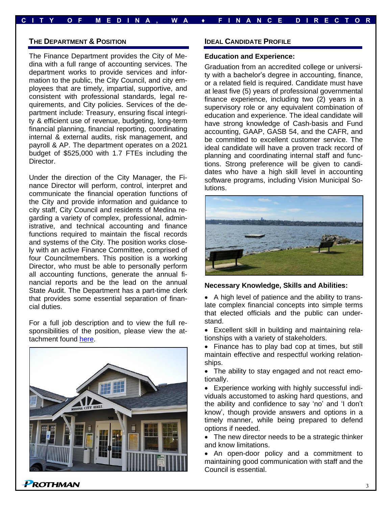## **C I T Y O F M E D I N A , W A ♦ F I N A N C E D I R E C T O R**

#### **THE DEPARTMENT & POSITION**

The Finance Department provides the City of Medina with a full range of accounting services. The department works to provide services and information to the public, the City Council, and city employees that are timely, impartial, supportive, and consistent with professional standards, legal requirements, and City policies. Services of the department include: Treasury, ensuring fiscal integrity & efficient use of revenue, budgeting, long-term financial planning, financial reporting, coordinating internal & external audits, risk management, and payroll & AP. The department operates on a 2021 budget of \$525,000 with 1.7 FTEs including the Director.

Under the direction of the City Manager, the Finance Director will perform, control, interpret and communicate the financial operation functions of the City and provide information and guidance to city staff, City Council and residents of Medina regarding a variety of complex, professional, administrative, and technical accounting and finance functions required to maintain the fiscal records and systems of the City. The position works closely with an active Finance Committee, comprised of four Councilmembers. This position is a working Director, who must be able to personally perform all accounting functions, generate the annual financial reports and be the lead on the annual State Audit. The Department has a part-time clerk that provides some essential separation of financial duties.

For a full job description and to view the full responsibilities of the position, please view the attachment found [here.](https://prothman.com/JobFiles/2908/Finance%20Director%20Job%20Description.pdf)



**PROTHMAN** 

#### **IDEAL CANDIDATE PROFILE**

#### **Education and Experience:**

Graduation from an accredited college or university with a bachelor's degree in accounting, finance, or a related field is required. Candidate must have at least five (5) years of professional governmental finance experience, including two (2) years in a supervisory role or any equivalent combination of education and experience. The ideal candidate will have strong knowledge of Cash-basis and Fund accounting, GAAP, GASB 54, and the CAFR, and be committed to excellent customer service. The ideal candidate will have a proven track record of planning and coordinating internal staff and functions. Strong preference will be given to candidates who have a high skill level in accounting software programs, including Vision Municipal Solutions.



#### **Necessary Knowledge, Skills and Abilities:**

• A high level of patience and the ability to translate complex financial concepts into simple terms that elected officials and the public can understand.

• Excellent skill in building and maintaining relationships with a variety of stakeholders.

• Finance has to play bad cop at times, but still maintain effective and respectful working relationships.

• The ability to stay engaged and not react emotionally.

• Experience working with highly successful individuals accustomed to asking hard questions, and the ability and confidence to say 'no' and 'I don't know', though provide answers and options in a timely manner, while being prepared to defend options if needed.

• The new director needs to be a strategic thinker and know limitations.

• An open-door policy and a commitment to maintaining good communication with staff and the Council is essential.